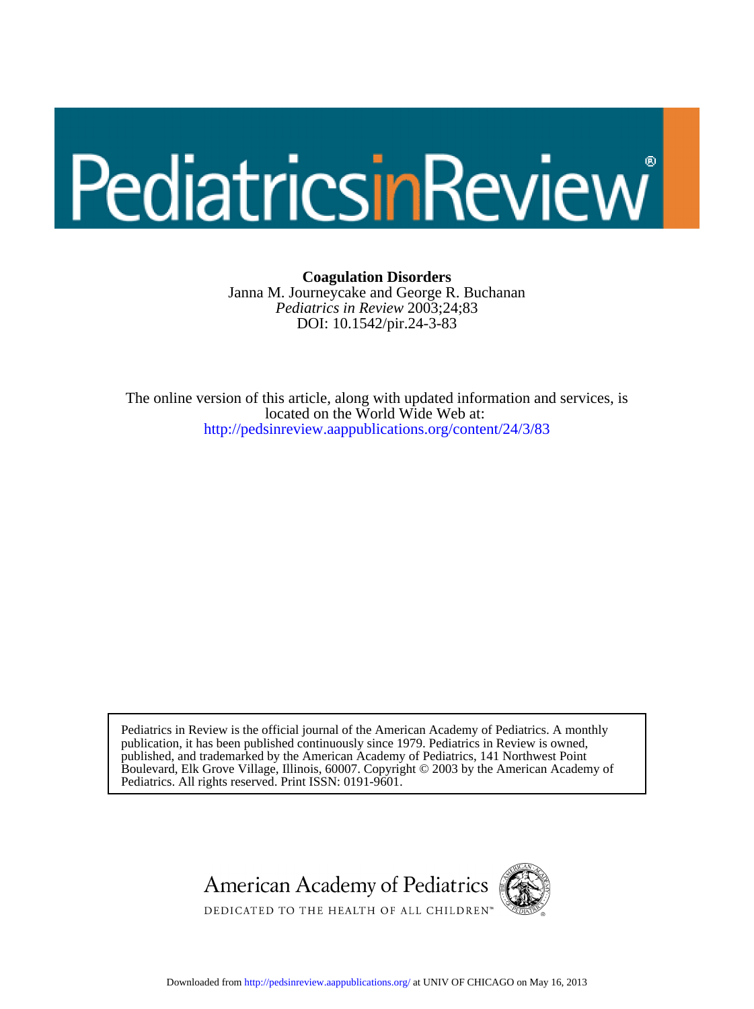# PediatricsinReview

DOI: 10.1542/pir.24-3-83 *Pediatrics in Review* 2003;24;83 Janna M. Journeycake and George R. Buchanan **Coagulation Disorders**

<http://pedsinreview.aappublications.org/content/24/3/83> located on the World Wide Web at: The online version of this article, along with updated information and services, is

Pediatrics. All rights reserved. Print ISSN: 0191-9601. Boulevard, Elk Grove Village, Illinois, 60007. Copyright © 2003 by the American Academy of published, and trademarked by the American Academy of Pediatrics, 141 Northwest Point publication, it has been published continuously since 1979. Pediatrics in Review is owned, Pediatrics in Review is the official journal of the American Academy of Pediatrics. A monthly

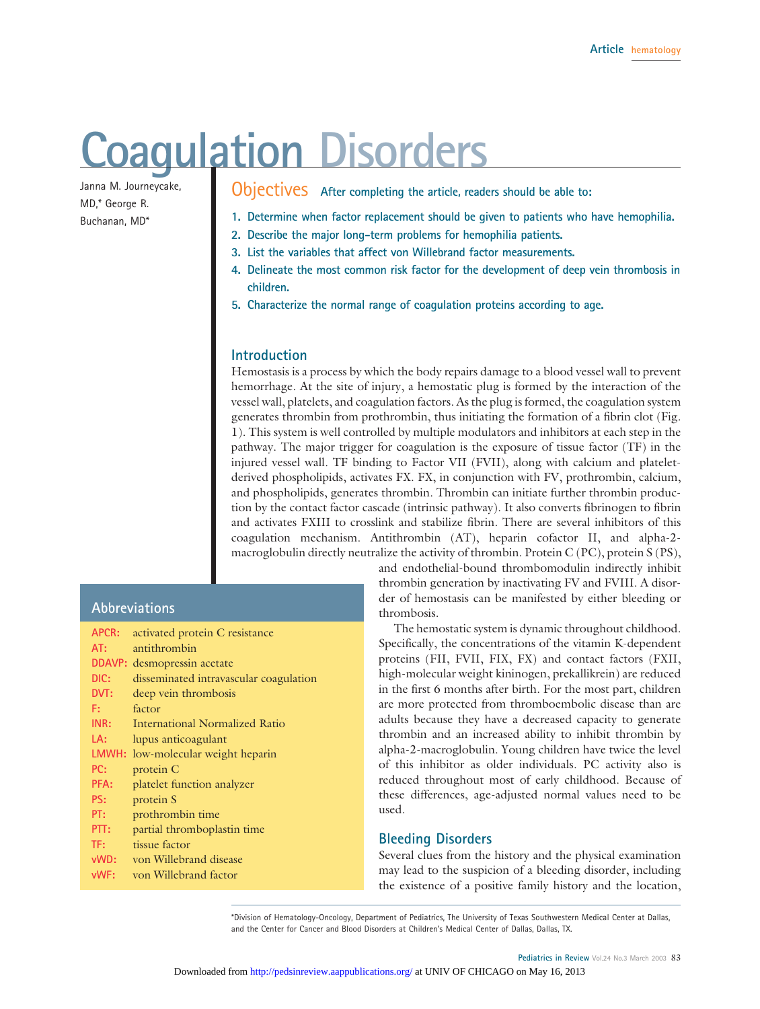# **Coagulation Disorders**

Janna M. Journeycake, MD,\* George R. Buchanan, MD\*

Objectives **After completing the article, readers should be able to:**

- **1. Determine when factor replacement should be given to patients who have hemophilia.**
- **2. Describe the major long-term problems for hemophilia patients.**
- **3. List the variables that affect von Willebrand factor measurements.**
- **4. Delineate the most common risk factor for the development of deep vein thrombosis in children.**
- **5. Characterize the normal range of coagulation proteins according to age.**

#### **Introduction**

Hemostasis is a process by which the body repairs damage to a blood vessel wall to prevent hemorrhage. At the site of injury, a hemostatic plug is formed by the interaction of the vessel wall, platelets, and coagulation factors. As the plug is formed, the coagulation system generates thrombin from prothrombin, thus initiating the formation of a fibrin clot (Fig. 1). This system is well controlled by multiple modulators and inhibitors at each step in the pathway. The major trigger for coagulation is the exposure of tissue factor (TF) in the injured vessel wall. TF binding to Factor VII (FVII), along with calcium and plateletderived phospholipids, activates FX. FX, in conjunction with FV, prothrombin, calcium, and phospholipids, generates thrombin. Thrombin can initiate further thrombin production by the contact factor cascade (intrinsic pathway). It also converts fibrinogen to fibrin and activates FXIII to crosslink and stabilize fibrin. There are several inhibitors of this coagulation mechanism. Antithrombin (AT), heparin cofactor II, and alpha-2 macroglobulin directly neutralize the activity of thrombin. Protein C (PC), protein S (PS),

#### **Abbreviations**

| APCR: | activated protein C resistance         |
|-------|----------------------------------------|
| AT:   | antithrombin                           |
|       | DDAVP: desmopressin acetate            |
| DIC:  | disseminated intravascular coagulation |
| DVT:  | deep vein thrombosis                   |
| Fr.   | factor                                 |
| INR:  | International Normalized Ratio         |
| LA:   | lupus anticoagulant                    |
|       | LMWH: low-molecular weight heparin     |
| PC:   | protein C                              |
| PFA:  | platelet function analyzer             |
| PS:   | protein S                              |
| PT:   | prothrombin time                       |
| PTT:  | partial thromboplastin time            |
| TF:   | tissue factor                          |
| vWD:  | von Willebrand disease                 |
| vWF:  | von Willebrand factor                  |

and endothelial-bound thrombomodulin indirectly inhibit thrombin generation by inactivating FV and FVIII. A disorder of hemostasis can be manifested by either bleeding or thrombosis.

The hemostatic system is dynamic throughout childhood. Specifically, the concentrations of the vitamin K-dependent proteins (FII, FVII, FIX, FX) and contact factors (FXII, high-molecular weight kininogen, prekallikrein) are reduced in the first 6 months after birth. For the most part, children are more protected from thromboembolic disease than are adults because they have a decreased capacity to generate thrombin and an increased ability to inhibit thrombin by alpha-2-macroglobulin. Young children have twice the level of this inhibitor as older individuals. PC activity also is reduced throughout most of early childhood. Because of these differences, age-adjusted normal values need to be used.

#### **Bleeding Disorders**

Several clues from the history and the physical examination may lead to the suspicion of a bleeding disorder, including the existence of a positive family history and the location,

Pediatrics in Review Vol.24 No.3 March 2003 83

\*Division of Hematology-Oncology, Department of Pediatrics, The University of Texas Southwestern Medical Center at Dallas, and the Center for Cancer and Blood Disorders at Children's Medical Center of Dallas, Dallas, TX.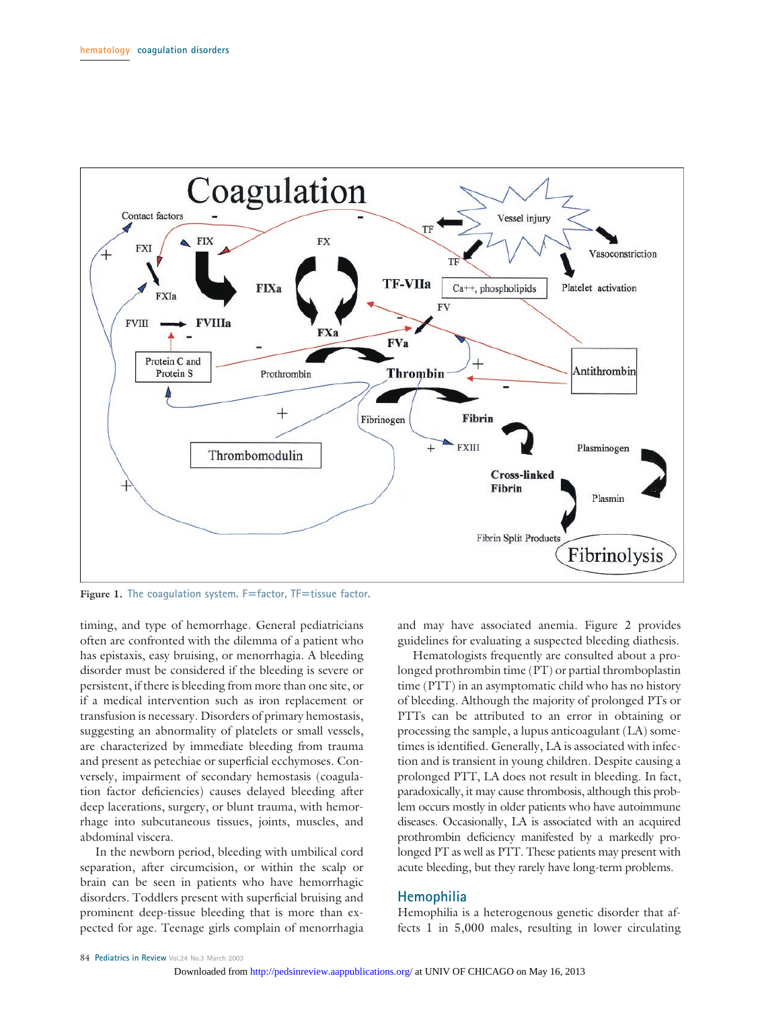

**Figure 1. The coagulation system. Ffactor, TFtissue factor.**

timing, and type of hemorrhage. General pediatricians often are confronted with the dilemma of a patient who has epistaxis, easy bruising, or menorrhagia. A bleeding disorder must be considered if the bleeding is severe or persistent, if there is bleeding from more than one site, or if a medical intervention such as iron replacement or transfusion is necessary. Disorders of primary hemostasis, suggesting an abnormality of platelets or small vessels, are characterized by immediate bleeding from trauma and present as petechiae or superficial ecchymoses. Conversely, impairment of secondary hemostasis (coagulation factor deficiencies) causes delayed bleeding after deep lacerations, surgery, or blunt trauma, with hemorrhage into subcutaneous tissues, joints, muscles, and abdominal viscera.

In the newborn period, bleeding with umbilical cord separation, after circumcision, or within the scalp or brain can be seen in patients who have hemorrhagic disorders. Toddlers present with superficial bruising and prominent deep-tissue bleeding that is more than expected for age. Teenage girls complain of menorrhagia

and may have associated anemia. Figure 2 provides guidelines for evaluating a suspected bleeding diathesis.

Hematologists frequently are consulted about a prolonged prothrombin time (PT) or partial thromboplastin time (PTT) in an asymptomatic child who has no history of bleeding. Although the majority of prolonged PTs or PTTs can be attributed to an error in obtaining or processing the sample, a lupus anticoagulant (LA) sometimes is identified. Generally, LA is associated with infection and is transient in young children. Despite causing a prolonged PTT, LA does not result in bleeding. In fact, paradoxically, it may cause thrombosis, although this problem occurs mostly in older patients who have autoimmune diseases. Occasionally, LA is associated with an acquired prothrombin deficiency manifested by a markedly prolonged PT as well as PTT. These patients may present with acute bleeding, but they rarely have long-term problems.

#### **Hemophilia**

Hemophilia is a heterogenous genetic disorder that affects 1 in 5,000 males, resulting in lower circulating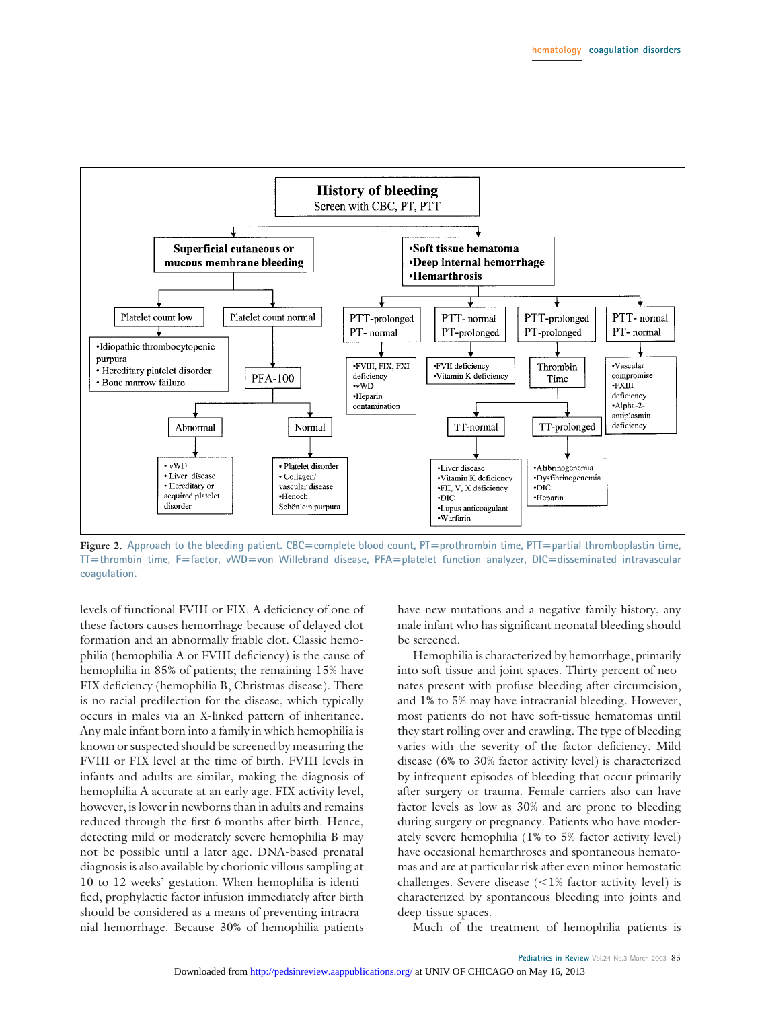

**Figure 2. Approach to the bleeding patient. CBCcomplete blood count, PTprothrombin time, PTTpartial thromboplastin time, TTthrombin time, Ffactor, vWDvon Willebrand disease, PFAplatelet function analyzer, DICdisseminated intravascular coagulation.**

levels of functional FVIII or FIX. A deficiency of one of these factors causes hemorrhage because of delayed clot formation and an abnormally friable clot. Classic hemophilia (hemophilia A or FVIII deficiency) is the cause of hemophilia in 85% of patients; the remaining 15% have FIX deficiency (hemophilia B, Christmas disease). There is no racial predilection for the disease, which typically occurs in males via an X-linked pattern of inheritance. Any male infant born into a family in which hemophilia is known or suspected should be screened by measuring the FVIII or FIX level at the time of birth. FVIII levels in infants and adults are similar, making the diagnosis of hemophilia A accurate at an early age. FIX activity level, however, is lower in newborns than in adults and remains reduced through the first 6 months after birth. Hence, detecting mild or moderately severe hemophilia B may not be possible until a later age. DNA-based prenatal diagnosis is also available by chorionic villous sampling at 10 to 12 weeks' gestation. When hemophilia is identified, prophylactic factor infusion immediately after birth should be considered as a means of preventing intracranial hemorrhage. Because 30% of hemophilia patients

have new mutations and a negative family history, any male infant who has significant neonatal bleeding should be screened.

Hemophilia is characterized by hemorrhage, primarily into soft-tissue and joint spaces. Thirty percent of neonates present with profuse bleeding after circumcision, and 1% to 5% may have intracranial bleeding. However, most patients do not have soft-tissue hematomas until they start rolling over and crawling. The type of bleeding varies with the severity of the factor deficiency. Mild disease (6% to 30% factor activity level) is characterized by infrequent episodes of bleeding that occur primarily after surgery or trauma. Female carriers also can have factor levels as low as 30% and are prone to bleeding during surgery or pregnancy. Patients who have moderately severe hemophilia (1% to 5% factor activity level) have occasional hemarthroses and spontaneous hematomas and are at particular risk after even minor hemostatic challenges. Severe disease  $\leq 1\%$  factor activity level) is characterized by spontaneous bleeding into joints and deep-tissue spaces.

Much of the treatment of hemophilia patients is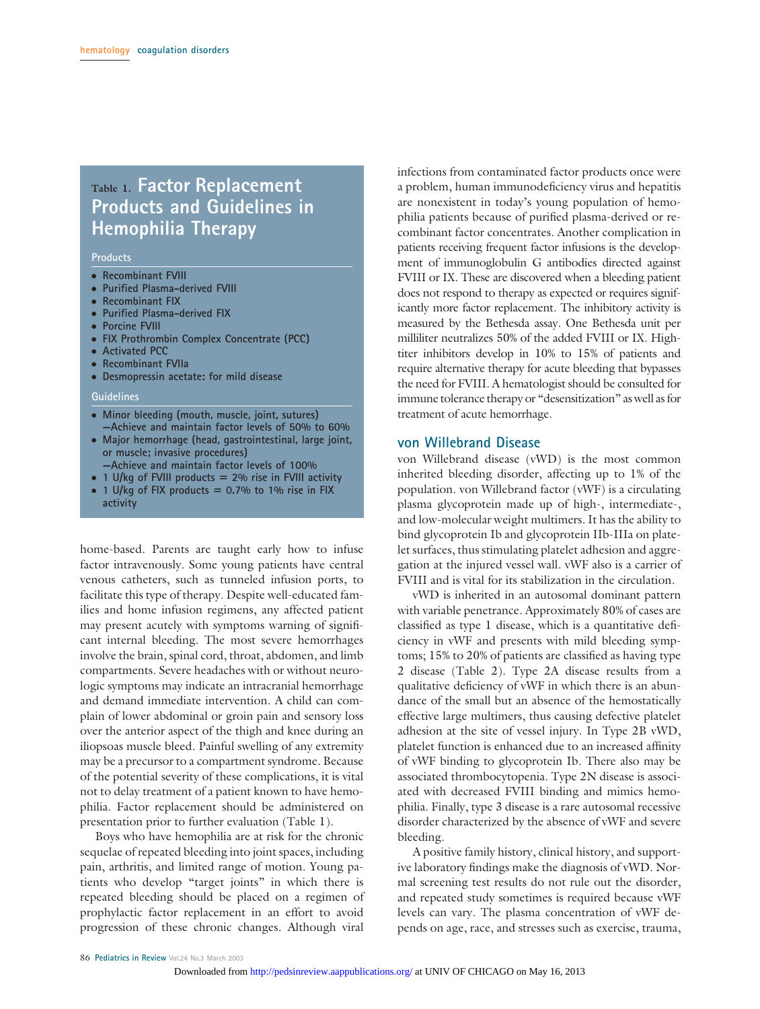# **Table 1. Factor Replacement Products and Guidelines in Hemophilia Therapy**

#### **Products**

- **Recombinant FVIII**
- **Purified Plasma-derived FVIII**
- **Recombinant FIX**
- **Purified Plasma-derived FIX**
- **Porcine FVIII**
- **FIX Prothrombin Complex Concentrate (PCC)**
- **Activated PCC**
- **Recombinant FVIIa**
- **Desmopressin acetate: for mild disease**

#### **Guidelines**

- **Minor bleeding (mouth, muscle, joint, sutures) —Achieve and maintain factor levels of 50% to 60%**
- **Major hemorrhage (head, gastrointestinal, large joint, or muscle; invasive procedures)**
- **—Achieve and maintain factor levels of 100%**
- **1 U/kg of FVIII products 2% rise in FVIII activity**
- 1 U/kg of FIX products  $= 0.7%$  to 1% rise in FIX **activity**

home-based. Parents are taught early how to infuse factor intravenously. Some young patients have central venous catheters, such as tunneled infusion ports, to facilitate this type of therapy. Despite well-educated families and home infusion regimens, any affected patient may present acutely with symptoms warning of significant internal bleeding. The most severe hemorrhages involve the brain, spinal cord, throat, abdomen, and limb compartments. Severe headaches with or without neurologic symptoms may indicate an intracranial hemorrhage and demand immediate intervention. A child can complain of lower abdominal or groin pain and sensory loss over the anterior aspect of the thigh and knee during an iliopsoas muscle bleed. Painful swelling of any extremity may be a precursor to a compartment syndrome. Because of the potential severity of these complications, it is vital not to delay treatment of a patient known to have hemophilia. Factor replacement should be administered on presentation prior to further evaluation (Table 1).

Boys who have hemophilia are at risk for the chronic sequelae of repeated bleeding into joint spaces, including pain, arthritis, and limited range of motion. Young patients who develop "target joints" in which there is repeated bleeding should be placed on a regimen of prophylactic factor replacement in an effort to avoid progression of these chronic changes. Although viral

infections from contaminated factor products once were a problem, human immunodeficiency virus and hepatitis are nonexistent in today's young population of hemophilia patients because of purified plasma-derived or recombinant factor concentrates. Another complication in patients receiving frequent factor infusions is the development of immunoglobulin G antibodies directed against FVIII or IX. These are discovered when a bleeding patient does not respond to therapy as expected or requires significantly more factor replacement. The inhibitory activity is measured by the Bethesda assay. One Bethesda unit per milliliter neutralizes 50% of the added FVIII or IX. Hightiter inhibitors develop in 10% to 15% of patients and require alternative therapy for acute bleeding that bypasses the need for FVIII. A hematologist should be consulted for immune tolerance therapy or "desensitization" as well as for treatment of acute hemorrhage.

#### **von Willebrand Disease**

von Willebrand disease (vWD) is the most common inherited bleeding disorder, affecting up to 1% of the population. von Willebrand factor (vWF) is a circulating plasma glycoprotein made up of high-, intermediate-, and low-molecular weight multimers. It has the ability to bind glycoprotein Ib and glycoprotein IIb-IIIa on platelet surfaces, thus stimulating platelet adhesion and aggregation at the injured vessel wall. vWF also is a carrier of FVIII and is vital for its stabilization in the circulation.

vWD is inherited in an autosomal dominant pattern with variable penetrance. Approximately 80% of cases are classified as type 1 disease, which is a quantitative deficiency in vWF and presents with mild bleeding symptoms; 15% to 20% of patients are classified as having type 2 disease (Table 2). Type 2A disease results from a qualitative deficiency of vWF in which there is an abundance of the small but an absence of the hemostatically effective large multimers, thus causing defective platelet adhesion at the site of vessel injury. In Type 2B vWD, platelet function is enhanced due to an increased affinity of vWF binding to glycoprotein Ib. There also may be associated thrombocytopenia. Type 2N disease is associated with decreased FVIII binding and mimics hemophilia. Finally, type 3 disease is a rare autosomal recessive disorder characterized by the absence of vWF and severe bleeding.

A positive family history, clinical history, and supportive laboratory findings make the diagnosis of vWD. Normal screening test results do not rule out the disorder, and repeated study sometimes is required because vWF levels can vary. The plasma concentration of vWF depends on age, race, and stresses such as exercise, trauma,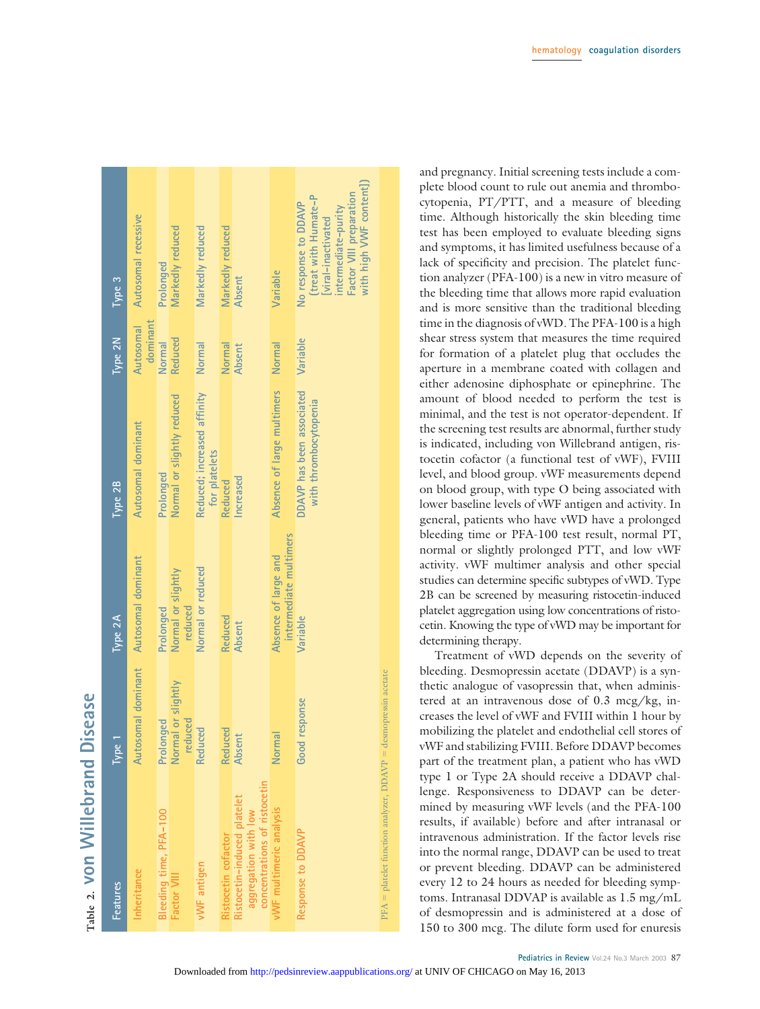|   | Ċ<br>j  |
|---|---------|
|   |         |
|   | ç       |
|   | ļ.<br>Ć |
|   | ŀ       |
|   | ţ<br>ı  |
|   |         |
|   |         |
|   |         |
|   | j       |
|   | ŧ<br>ú  |
|   | h       |
| i |         |
|   | ı       |
|   | Ş<br>í  |
|   | ı       |
|   | h<br>ì  |
|   | ø       |
|   |         |
|   | i<br>¢  |
|   |         |
|   |         |
|   | ĺ       |
|   |         |

| Features                                                                            | Type 1                                | Type 2A                                        | Type 2B                                            | Type 2N               | Type 3                                                                                                                                          |
|-------------------------------------------------------------------------------------|---------------------------------------|------------------------------------------------|----------------------------------------------------|-----------------------|-------------------------------------------------------------------------------------------------------------------------------------------------|
| Inheritance                                                                         | Autosomal dominant Autosomal dominant |                                                | Autosomal dominant                                 | dominant<br>Autosomal | Autosomal recessive                                                                                                                             |
| Bleeding time, PFA-100                                                              | Prolonged                             | Prolonged                                      | Prolonged                                          | Normal                | Prolonged                                                                                                                                       |
| Factor VIII                                                                         | Normal or slightly<br>reduced         | Normal or slightly<br>reduced                  | Normal or slightly reduced                         | Reduced               | Markedly reduced                                                                                                                                |
| <b>WF</b> antigen                                                                   | Reduced                               | Normal or reduced                              | Reduced; increased affinity<br>for platelets       | Normal                | Markedly reduced                                                                                                                                |
| Ristocetin cofactor                                                                 | Reduced                               | Reduced                                        | <b>Reduced</b>                                     | Normal                | Markedly reduced                                                                                                                                |
| concentrations of ristocetin<br>Ristocetin-induced platelet<br>aggregation with low | Absent                                | Absent                                         | Increased                                          | Absent                | Absent                                                                                                                                          |
| vWF multimeric analysis                                                             | Norma                                 | intermediate multimers<br>Absence of large and | Absence of large multimers                         | Normal                | Variable                                                                                                                                        |
| Response to DDAVP                                                                   | response<br>Good <sub>1</sub>         | Variable                                       | DDAVP has been associated<br>with thrombocytopenia | Variable              | with high VWF content])<br>Factor VIII preparation<br>(treat with Humate-P<br>No response to DDAVP<br>intermediate-purity<br>[viral-inactivated |

and pregnancy. Initial screening tests include a complete blood count to rule out anemia and thrombocytopenia, PT/PTT, and a measure of bleeding time. Although historically the skin bleeding time test has been employed to evaluate bleeding signs and symptoms, it has limited usefulness because of a lack of specificity and precision. The platelet function analyzer (PFA-100) is a new in vitro measure of the bleeding time that allows more rapid evaluation and is more sensitive than the traditional bleeding time in the diagnosis of vWD. The PFA-100 is a high shear stress system that measures the time required for formation of a platelet plug that occludes the aperture in a membrane coated with collagen and either adenosine diphosphate or epinephrine. The amount of blood needed to perform the test is minimal, and the test is not operator-dependent. If the screening test results are abnormal, further study is indicated, including von Willebrand antigen, ristocetin cofactor (a functional test of vWF), FVIII level, and blood group. vWF measurements depend on blood group, with type O being associated with lower baseline levels of vWF antigen and activity. In general, patients who have vWD have a prolonged bleeding time or PFA-100 test result, normal PT, normal or slightly prolonged PTT, and low vWF activity. vWF multimer analysis and other special studies can determine specific subtypes of vWD. Type 2B can be screened by measuring ristocetin-induced platelet aggregation using low concentrations of ristocetin. Knowing the type of vWD may be important for determining therapy.

Treatment of vWD depends on the severity of bleeding. Desmopressin acetate (DDAVP) is a synthetic analogue of vasopressin that, when administered at an intravenous dose of 0.3 mcg/kg, increases the level of vWF and FVIII within 1 hour by mobilizing the platelet and endothelial cell stores of vWF and stabilizing FVIII. Before DDAVP becomes part of the treatment plan, a patient who has vWD type 1 or Type 2A should receive a DDAVP challenge. Responsiveness to DDAVP can be determined by measuring vWF levels (and the PFA-100 results, if available) before and after intranasal or intravenous administration. If the factor levels rise into the normal range, DDAVP can be used to treat or prevent bleeding. DDAVP can be administered every 12 to 24 hours as needed for bleeding symptoms. Intranasal DDVAP is available as 1.5 mg/mL of desmopressin and is administered at a dose of 150 to 300 mcg. The dilute form used for enuresis

Pediatrics in Review Vol.24 No.3 March 2003 87

PFA = platelet function analyzer, DDAVP = desmopressin acetate

desmopressin acetate

 $=$  platelet function analyzer, DDAVP  $=$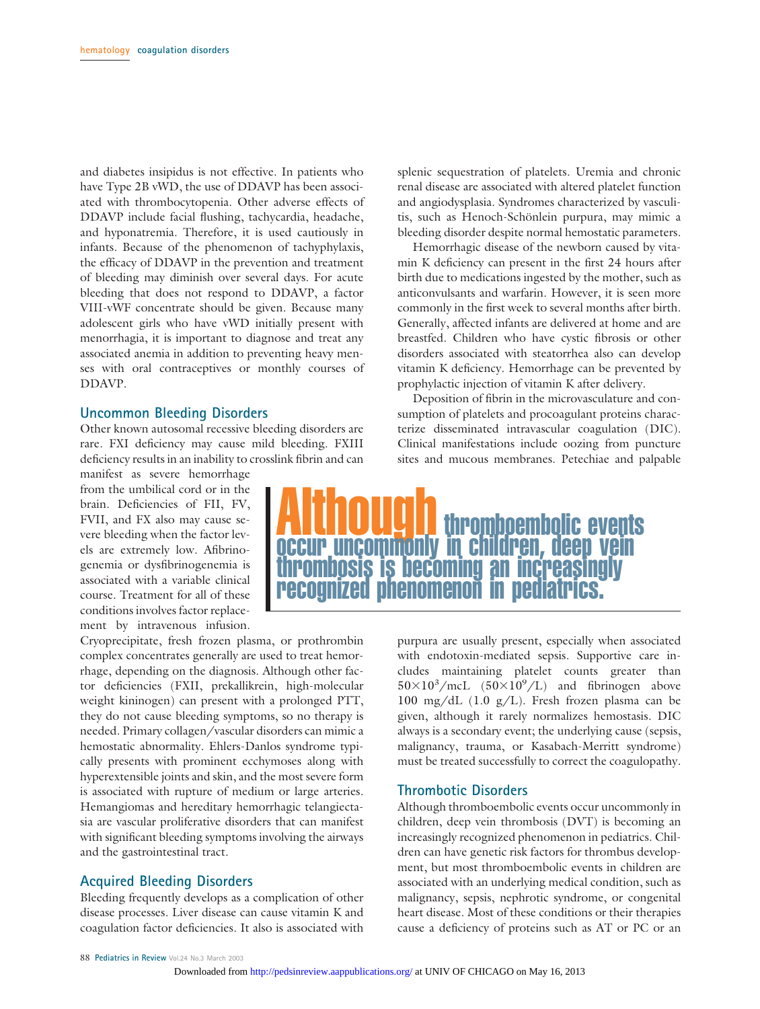and diabetes insipidus is not effective. In patients who have Type 2B vWD, the use of DDAVP has been associated with thrombocytopenia. Other adverse effects of DDAVP include facial flushing, tachycardia, headache, and hyponatremia. Therefore, it is used cautiously in infants. Because of the phenomenon of tachyphylaxis, the efficacy of DDAVP in the prevention and treatment of bleeding may diminish over several days. For acute bleeding that does not respond to DDAVP, a factor VIII-vWF concentrate should be given. Because many adolescent girls who have vWD initially present with menorrhagia, it is important to diagnose and treat any associated anemia in addition to preventing heavy menses with oral contraceptives or monthly courses of DDAVP.

#### **Uncommon Bleeding Disorders**

Other known autosomal recessive bleeding disorders are rare. FXI deficiency may cause mild bleeding. FXIII deficiency results in an inability to crosslink fibrin and can

manifest as severe hemorrhage from the umbilical cord or in the brain. Deficiencies of FII, FV, FVII, and FX also may cause severe bleeding when the factor levels are extremely low. Afibrinogenemia or dysfibrinogenemia is associated with a variable clinical course. Treatment for all of these conditions involves factor replacement by intravenous infusion.

Cryoprecipitate, fresh frozen plasma, or prothrombin complex concentrates generally are used to treat hemorrhage, depending on the diagnosis. Although other factor deficiencies (FXII, prekallikrein, high-molecular weight kininogen) can present with a prolonged PTT, they do not cause bleeding symptoms, so no therapy is needed. Primary collagen/vascular disorders can mimic a hemostatic abnormality. Ehlers-Danlos syndrome typically presents with prominent ecchymoses along with hyperextensible joints and skin, and the most severe form is associated with rupture of medium or large arteries. Hemangiomas and hereditary hemorrhagic telangiectasia are vascular proliferative disorders that can manifest with significant bleeding symptoms involving the airways and the gastrointestinal tract.

#### **Acquired Bleeding Disorders**

Bleeding frequently develops as a complication of other disease processes. Liver disease can cause vitamin K and coagulation factor deficiencies. It also is associated with

splenic sequestration of platelets. Uremia and chronic renal disease are associated with altered platelet function and angiodysplasia. Syndromes characterized by vasculitis, such as Henoch-Schönlein purpura, may mimic a bleeding disorder despite normal hemostatic parameters.

Hemorrhagic disease of the newborn caused by vitamin K deficiency can present in the first 24 hours after birth due to medications ingested by the mother, such as anticonvulsants and warfarin. However, it is seen more commonly in the first week to several months after birth. Generally, affected infants are delivered at home and are breastfed. Children who have cystic fibrosis or other disorders associated with steatorrhea also can develop vitamin K deficiency. Hemorrhage can be prevented by prophylactic injection of vitamin K after delivery.

Deposition of fibrin in the microvasculature and consumption of platelets and procoagulant proteins characterize disseminated intravascular coagulation (DIC). Clinical manifestations include oozing from puncture sites and mucous membranes. Petechiae and palpable



purpura are usually present, especially when associated with endotoxin-mediated sepsis. Supportive care includes maintaining platelet counts greater than  $50\times10^3/mcL$   $(50\times10^9/L)$  and fibrinogen above 100 mg/dL (1.0 g/L). Fresh frozen plasma can be given, although it rarely normalizes hemostasis. DIC always is a secondary event; the underlying cause (sepsis, malignancy, trauma, or Kasabach-Merritt syndrome) must be treated successfully to correct the coagulopathy.

#### **Thrombotic Disorders**

Although thromboembolic events occur uncommonly in children, deep vein thrombosis (DVT) is becoming an increasingly recognized phenomenon in pediatrics. Children can have genetic risk factors for thrombus development, but most thromboembolic events in children are associated with an underlying medical condition, such as malignancy, sepsis, nephrotic syndrome, or congenital heart disease. Most of these conditions or their therapies cause a deficiency of proteins such as AT or PC or an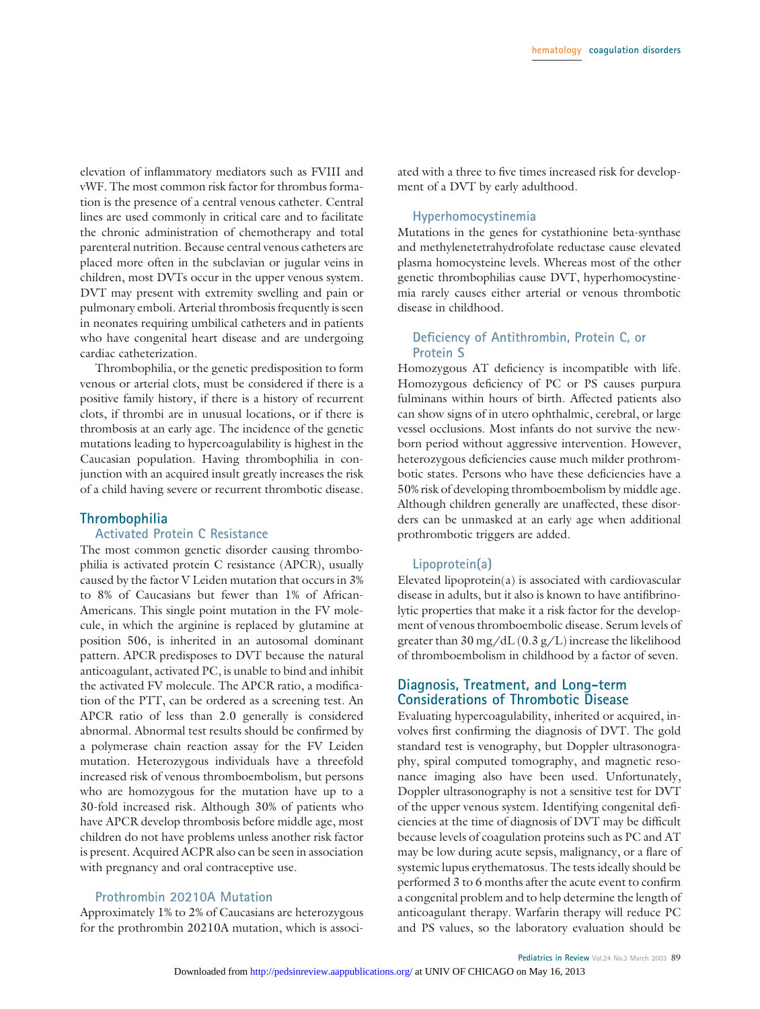elevation of inflammatory mediators such as FVIII and vWF. The most common risk factor for thrombus formation is the presence of a central venous catheter. Central lines are used commonly in critical care and to facilitate the chronic administration of chemotherapy and total parenteral nutrition. Because central venous catheters are placed more often in the subclavian or jugular veins in children, most DVTs occur in the upper venous system. DVT may present with extremity swelling and pain or pulmonary emboli. Arterial thrombosis frequently is seen in neonates requiring umbilical catheters and in patients who have congenital heart disease and are undergoing cardiac catheterization.

Thrombophilia, or the genetic predisposition to form venous or arterial clots, must be considered if there is a positive family history, if there is a history of recurrent clots, if thrombi are in unusual locations, or if there is thrombosis at an early age. The incidence of the genetic mutations leading to hypercoagulability is highest in the Caucasian population. Having thrombophilia in conjunction with an acquired insult greatly increases the risk of a child having severe or recurrent thrombotic disease.

#### **Thrombophilia**

#### **Activated Protein C Resistance**

The most common genetic disorder causing thrombophilia is activated protein C resistance (APCR), usually caused by the factor V Leiden mutation that occurs in 3% to 8% of Caucasians but fewer than 1% of African-Americans. This single point mutation in the FV molecule, in which the arginine is replaced by glutamine at position 506, is inherited in an autosomal dominant pattern. APCR predisposes to DVT because the natural anticoagulant, activated PC, is unable to bind and inhibit the activated FV molecule. The APCR ratio, a modification of the PTT, can be ordered as a screening test. An APCR ratio of less than 2.0 generally is considered abnormal. Abnormal test results should be confirmed by a polymerase chain reaction assay for the FV Leiden mutation. Heterozygous individuals have a threefold increased risk of venous thromboembolism, but persons who are homozygous for the mutation have up to a 30-fold increased risk. Although 30% of patients who have APCR develop thrombosis before middle age, most children do not have problems unless another risk factor is present. Acquired ACPR also can be seen in association with pregnancy and oral contraceptive use.

#### **Prothrombin 20210A Mutation**

Approximately 1% to 2% of Caucasians are heterozygous for the prothrombin 20210A mutation, which is associated with a three to five times increased risk for development of a DVT by early adulthood.

#### **Hyperhomocystinemia**

Mutations in the genes for cystathionine beta-synthase and methylenetetrahydrofolate reductase cause elevated plasma homocysteine levels. Whereas most of the other genetic thrombophilias cause DVT, hyperhomocystinemia rarely causes either arterial or venous thrombotic disease in childhood.

#### **Deficiency of Antithrombin, Protein C, or Protein S**

Homozygous AT deficiency is incompatible with life. Homozygous deficiency of PC or PS causes purpura fulminans within hours of birth. Affected patients also can show signs of in utero ophthalmic, cerebral, or large vessel occlusions. Most infants do not survive the newborn period without aggressive intervention. However, heterozygous deficiencies cause much milder prothrombotic states. Persons who have these deficiencies have a 50% risk of developing thromboembolism by middle age. Although children generally are unaffected, these disorders can be unmasked at an early age when additional prothrombotic triggers are added.

#### **Lipoprotein(a)**

Elevated lipoprotein(a) is associated with cardiovascular disease in adults, but it also is known to have antifibrinolytic properties that make it a risk factor for the development of venous thromboembolic disease. Serum levels of greater than 30 mg/dL (0.3 g/L) increase the likelihood of thromboembolism in childhood by a factor of seven.

#### **Diagnosis, Treatment, and Long-term Considerations of Thrombotic Disease**

Evaluating hypercoagulability, inherited or acquired, involves first confirming the diagnosis of DVT. The gold standard test is venography, but Doppler ultrasonography, spiral computed tomography, and magnetic resonance imaging also have been used. Unfortunately, Doppler ultrasonography is not a sensitive test for DVT of the upper venous system. Identifying congenital deficiencies at the time of diagnosis of DVT may be difficult because levels of coagulation proteins such as PC and AT may be low during acute sepsis, malignancy, or a flare of systemic lupus erythematosus. The tests ideally should be performed 3 to 6 months after the acute event to confirm a congenital problem and to help determine the length of anticoagulant therapy. Warfarin therapy will reduce PC and PS values, so the laboratory evaluation should be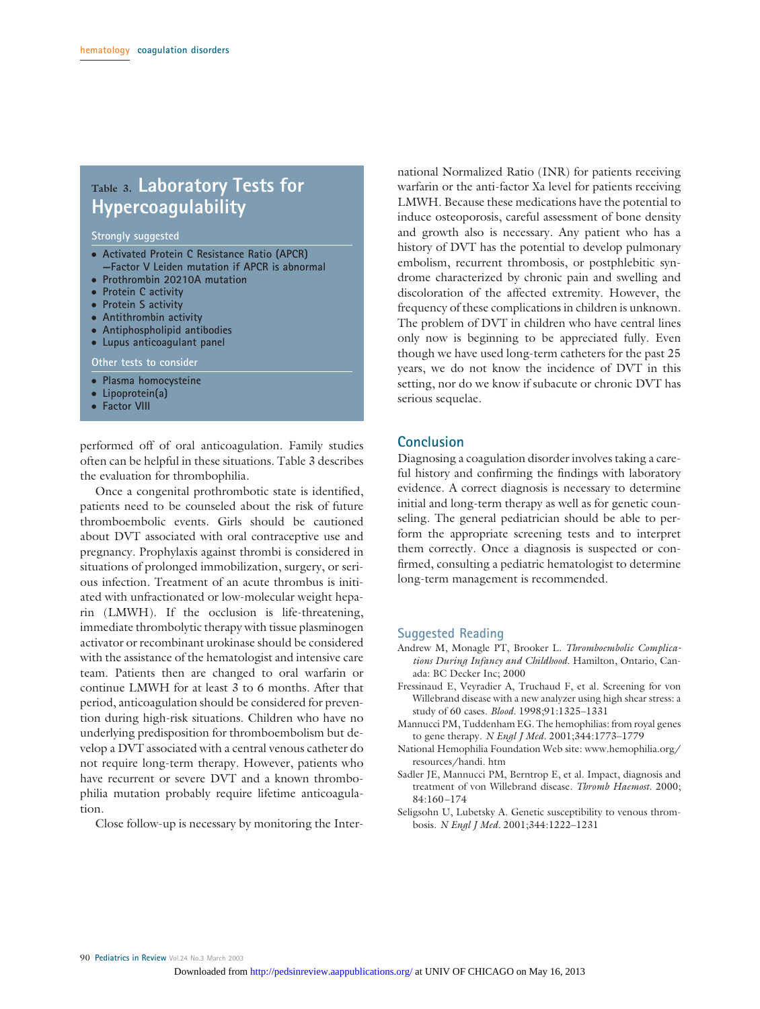# **Table 3. Laboratory Tests for Hypercoagulability**

**Strongly suggested**

- **Activated Protein C Resistance Ratio (APCR) —Factor V Leiden mutation if APCR is abnormal**
- **Prothrombin 20210A mutation**
- **Protein C activity**
- **Protein S activity**
- **Antithrombin activity**
- **Antiphospholipid antibodies**
- **Lupus anticoagulant panel**

**Other tests to consider**

- **Plasma homocysteine**
- **Lipoprotein(a)**
- **Factor VIII**

performed off of oral anticoagulation. Family studies often can be helpful in these situations. Table 3 describes the evaluation for thrombophilia.

Once a congenital prothrombotic state is identified, patients need to be counseled about the risk of future thromboembolic events. Girls should be cautioned about DVT associated with oral contraceptive use and pregnancy. Prophylaxis against thrombi is considered in situations of prolonged immobilization, surgery, or serious infection. Treatment of an acute thrombus is initiated with unfractionated or low-molecular weight heparin (LMWH). If the occlusion is life-threatening, immediate thrombolytic therapy with tissue plasminogen activator or recombinant urokinase should be considered with the assistance of the hematologist and intensive care team. Patients then are changed to oral warfarin or continue LMWH for at least 3 to 6 months. After that period, anticoagulation should be considered for prevention during high-risk situations. Children who have no underlying predisposition for thromboembolism but develop a DVT associated with a central venous catheter do not require long-term therapy. However, patients who have recurrent or severe DVT and a known thrombophilia mutation probably require lifetime anticoagulation.

Close follow-up is necessary by monitoring the Inter-

national Normalized Ratio (INR) for patients receiving warfarin or the anti-factor Xa level for patients receiving LMWH. Because these medications have the potential to induce osteoporosis, careful assessment of bone density and growth also is necessary. Any patient who has a history of DVT has the potential to develop pulmonary embolism, recurrent thrombosis, or postphlebitic syndrome characterized by chronic pain and swelling and discoloration of the affected extremity. However, the frequency of these complications in children is unknown. The problem of DVT in children who have central lines only now is beginning to be appreciated fully. Even though we have used long-term catheters for the past 25 years, we do not know the incidence of DVT in this setting, nor do we know if subacute or chronic DVT has serious sequelae.

#### **Conclusion**

Diagnosing a coagulation disorder involves taking a careful history and confirming the findings with laboratory evidence. A correct diagnosis is necessary to determine initial and long-term therapy as well as for genetic counseling. The general pediatrician should be able to perform the appropriate screening tests and to interpret them correctly. Once a diagnosis is suspected or confirmed, consulting a pediatric hematologist to determine long-term management is recommended.

#### **Suggested Reading**

- Andrew M, Monagle PT, Brooker L. *Thromboembolic Complications During Infancy and Childhood*. Hamilton, Ontario, Canada: BC Decker Inc; 2000
- Fressinaud E, Veyradier A, Truchaud F, et al. Screening for von Willebrand disease with a new analyzer using high shear stress: a study of 60 cases. *Blood.* 1998;91:1325–1331
- Mannucci PM, Tuddenham EG. The hemophilias: from royal genes to gene therapy. *N Engl J Med.* 2001;344:1773–1779
- National Hemophilia Foundation Web site: www.hemophilia.org/ resources/handi. htm
- Sadler JE, Mannucci PM, Berntrop E, et al. Impact, diagnosis and treatment of von Willebrand disease. *Thromb Haemost.* 2000; 84:160–174
- Seligsohn U, Lubetsky A. Genetic susceptibility to venous thrombosis. *N Engl J Med.* 2001;344:1222–1231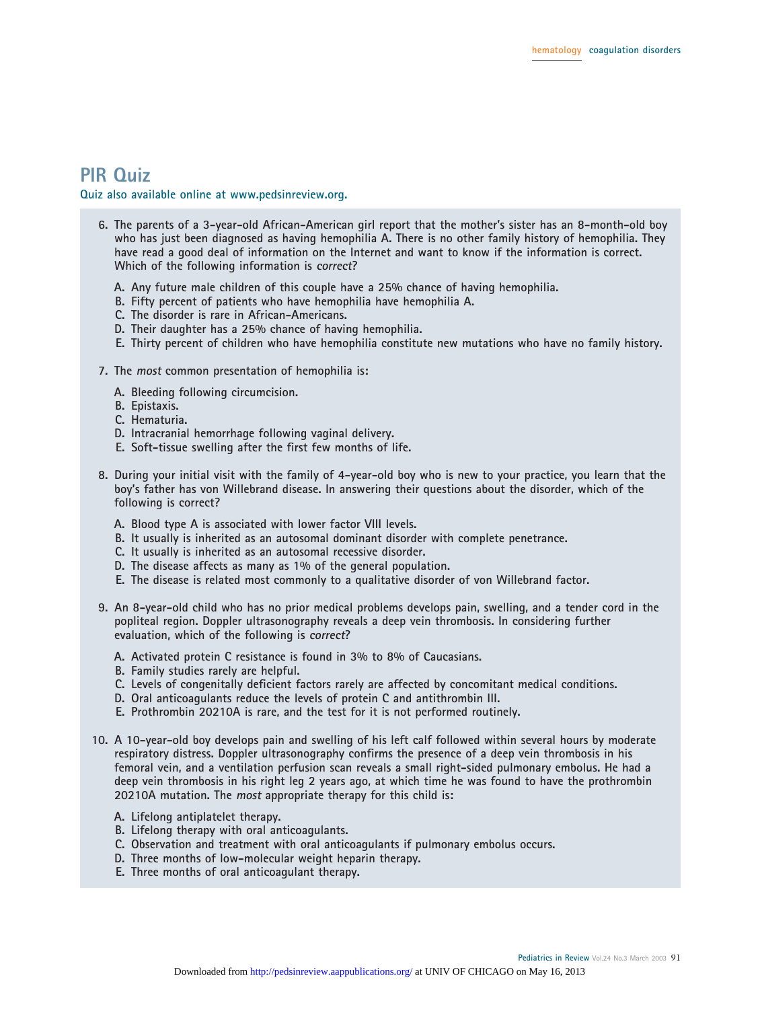## **PIR Quiz**

#### **Quiz also available online at www.pedsinreview.org.**

- **6. The parents of a 3-year-old African-American girl report that the mother's sister has an 8-month-old boy who has just been diagnosed as having hemophilia A. There is no other family history of hemophilia. They have read a good deal of information on the Internet and want to know if the information is correct. Which of the following information is correct?**
	- **A. Any future male children of this couple have a 25% chance of having hemophilia.**
	- **B. Fifty percent of patients who have hemophilia have hemophilia A.**
	- **C. The disorder is rare in African-Americans.**
	- **D. Their daughter has a 25% chance of having hemophilia.**
	- **E. Thirty percent of children who have hemophilia constitute new mutations who have no family history.**
- **7. The most common presentation of hemophilia is:**
	- **A. Bleeding following circumcision.**
	- **B. Epistaxis.**
	- **C. Hematuria.**
	- **D. Intracranial hemorrhage following vaginal delivery.**
	- **E. Soft-tissue swelling after the first few months of life.**
- **8. During your initial visit with the family of 4-year-old boy who is new to your practice, you learn that the boy's father has von Willebrand disease. In answering their questions about the disorder, which of the following is correct?**
	- **A. Blood type A is associated with lower factor VIII levels.**
	- **B. It usually is inherited as an autosomal dominant disorder with complete penetrance.**
	- **C. It usually is inherited as an autosomal recessive disorder.**
	- **D. The disease affects as many as 1% of the general population.**
	- **E. The disease is related most commonly to a qualitative disorder of von Willebrand factor.**
- **9. An 8-year-old child who has no prior medical problems develops pain, swelling, and a tender cord in the popliteal region. Doppler ultrasonography reveals a deep vein thrombosis. In considering further evaluation, which of the following is correct?**
	- **A. Activated protein C resistance is found in 3% to 8% of Caucasians.**
	- **B. Family studies rarely are helpful.**
	- **C. Levels of congenitally deficient factors rarely are affected by concomitant medical conditions.**
	- **D. Oral anticoagulants reduce the levels of protein C and antithrombin III.**
	- **E. Prothrombin 20210A is rare, and the test for it is not performed routinely.**
- **10. A 10-year-old boy develops pain and swelling of his left calf followed within several hours by moderate respiratory distress. Doppler ultrasonography confirms the presence of a deep vein thrombosis in his femoral vein, and a ventilation perfusion scan reveals a small right-sided pulmonary embolus. He had a deep vein thrombosis in his right leg 2 years ago, at which time he was found to have the prothrombin 20210A mutation. The most appropriate therapy for this child is:**
	- **A. Lifelong antiplatelet therapy.**
	- **B. Lifelong therapy with oral anticoagulants.**
	- **C. Observation and treatment with oral anticoagulants if pulmonary embolus occurs.**
	- **D. Three months of low-molecular weight heparin therapy.**
	- **E. Three months of oral anticoagulant therapy.**